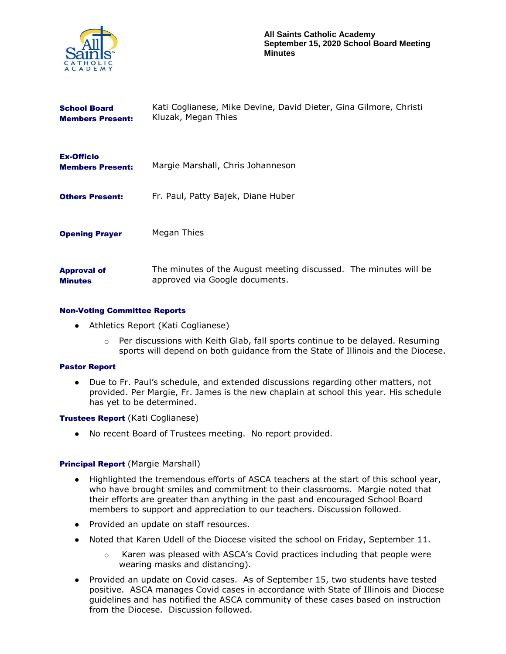

| <b>School Board</b><br><b>Members Present:</b> | Kati Coglianese, Mike Devine, David Dieter, Gina Gilmore, Christi<br>Kluzak, Megan Thies           |
|------------------------------------------------|----------------------------------------------------------------------------------------------------|
| <b>Ex-Officio</b><br><b>Members Present:</b>   | Margie Marshall, Chris Johanneson                                                                  |
| <b>Others Present:</b>                         | Fr. Paul, Patty Bajek, Diane Huber                                                                 |
| <b>Opening Prayer</b>                          | Megan Thies                                                                                        |
| <b>Approval of</b><br><b>Minutes</b>           | The minutes of the August meeting discussed. The minutes will be<br>approved via Google documents. |

## Non-Voting Committee Reports

- Athletics Report (Kati Coglianese)
	- o Per discussions with Keith Glab, fall sports continue to be delayed. Resuming sports will depend on both guidance from the State of Illinois and the Diocese.

## Pastor Report

● Due to Fr. Paul's schedule, and extended discussions regarding other matters, not provided. Per Margie, Fr. James is the new chaplain at school this year. His schedule has yet to be determined.

## Trustees Report (Kati Coglianese)

● No recent Board of Trustees meeting. No report provided.

## **Principal Report (Margie Marshall)**

- Highlighted the tremendous efforts of ASCA teachers at the start of this school year, who have brought smiles and commitment to their classrooms. Margie noted that their efforts are greater than anything in the past and encouraged School Board members to support and appreciation to our teachers. Discussion followed.
- Provided an update on staff resources.
- Noted that Karen Udell of the Diocese visited the school on Friday, September 11.
	- o Karen was pleased with ASCA's Covid practices including that people were wearing masks and distancing).
- Provided an update on Covid cases. As of September 15, two students have tested positive. ASCA manages Covid cases in accordance with State of Illinois and Diocese guidelines and has notified the ASCA community of these cases based on instruction from the Diocese. Discussion followed.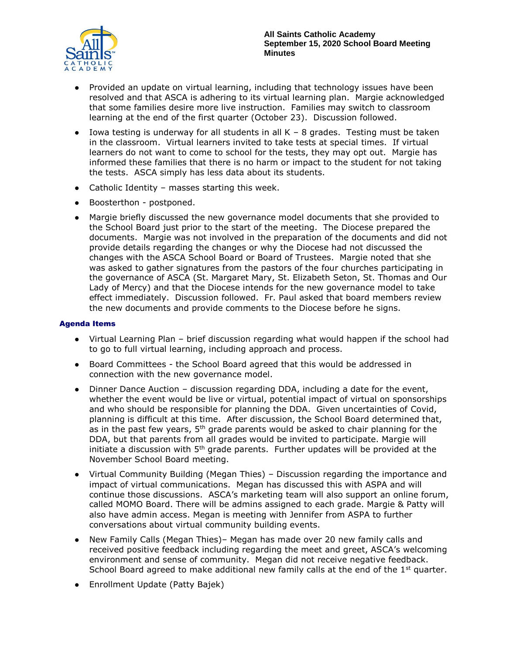

- Provided an update on virtual learning, including that technology issues have been resolved and that ASCA is adhering to its virtual learning plan. Margie acknowledged that some families desire more live instruction. Families may switch to classroom learning at the end of the first quarter (October 23). Discussion followed.
- Iowa testing is underway for all students in all  $K 8$  grades. Testing must be taken in the classroom. Virtual learners invited to take tests at special times. If virtual learners do not want to come to school for the tests, they may opt out. Margie has informed these families that there is no harm or impact to the student for not taking the tests. ASCA simply has less data about its students.
- $\bullet$  Catholic Identity masses starting this week.
- Boosterthon postponed.
- Margie briefly discussed the new governance model documents that she provided to the School Board just prior to the start of the meeting. The Diocese prepared the documents. Margie was not involved in the preparation of the documents and did not provide details regarding the changes or why the Diocese had not discussed the changes with the ASCA School Board or Board of Trustees. Margie noted that she was asked to gather signatures from the pastors of the four churches participating in the governance of ASCA (St. Margaret Mary, St. Elizabeth Seton, St. Thomas and Our Lady of Mercy) and that the Diocese intends for the new governance model to take effect immediately. Discussion followed. Fr. Paul asked that board members review the new documents and provide comments to the Diocese before he signs.

# Agenda Items

- Virtual Learning Plan brief discussion regarding what would happen if the school had to go to full virtual learning, including approach and process.
- Board Committees the School Board agreed that this would be addressed in connection with the new governance model.
- Dinner Dance Auction discussion regarding DDA, including a date for the event, whether the event would be live or virtual, potential impact of virtual on sponsorships and who should be responsible for planning the DDA. Given uncertainties of Covid, planning is difficult at this time. After discussion, the School Board determined that, as in the past few years,  $5<sup>th</sup>$  grade parents would be asked to chair planning for the DDA, but that parents from all grades would be invited to participate. Margie will initiate a discussion with  $5<sup>th</sup>$  grade parents. Further updates will be provided at the November School Board meeting.
- Virtual Community Building (Megan Thies) Discussion regarding the importance and impact of virtual communications. Megan has discussed this with ASPA and will continue those discussions. ASCA's marketing team will also support an online forum, called MOMO Board. There will be admins assigned to each grade. Margie & Patty will also have admin access. Megan is meeting with Jennifer from ASPA to further conversations about virtual community building events.
- New Family Calls (Megan Thies)– Megan has made over 20 new family calls and received positive feedback including regarding the meet and greet, ASCA's welcoming environment and sense of community. Megan did not receive negative feedback. School Board agreed to make additional new family calls at the end of the  $1<sup>st</sup>$  quarter.
- Enrollment Update (Patty Bajek)